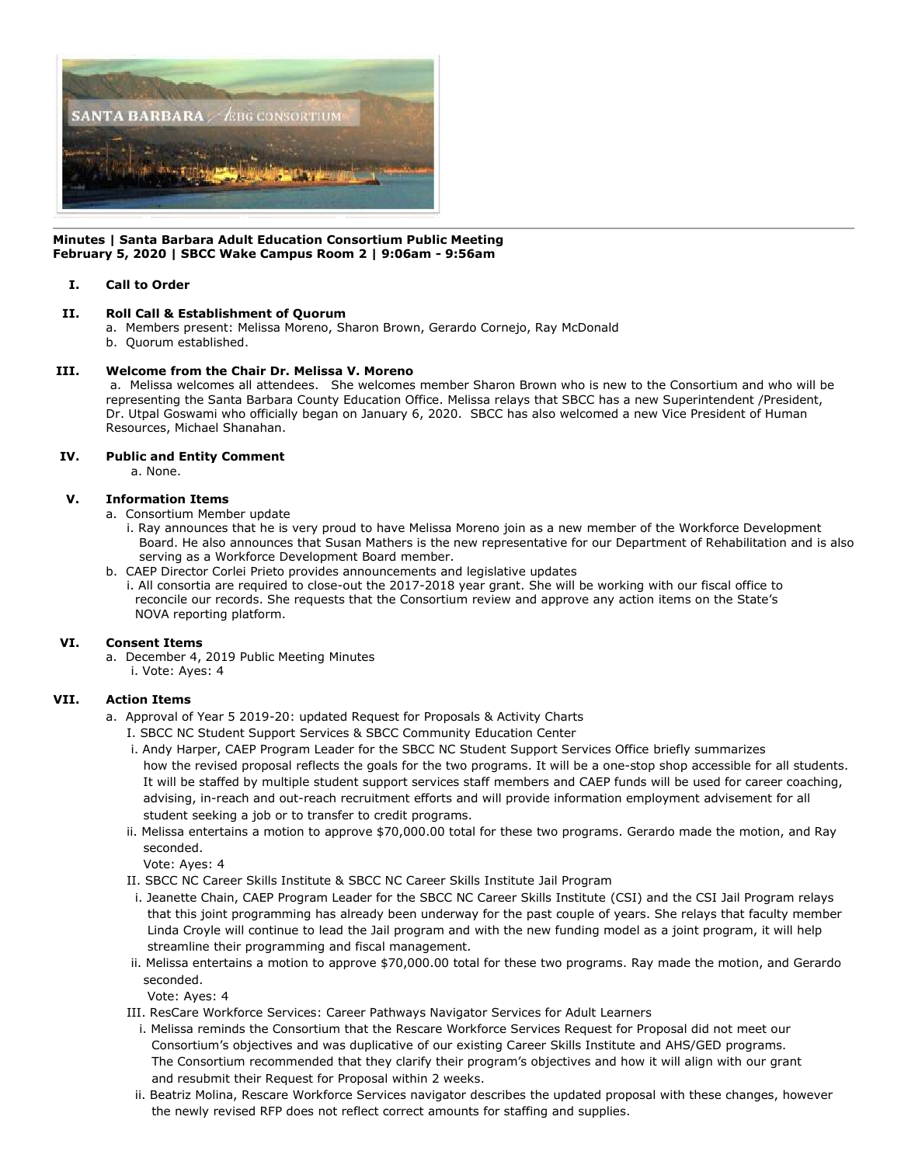

#### **Minutes | Santa Barbara Adult Education Consortium Public Meeting February 5, 2020 | SBCC Wake Campus Room 2 | 9:06am - 9:56am**

## **I. Call to Order**

## **II. Roll Call & Establishment of Quorum**

- a. Members present: Melissa Moreno, Sharon Brown, Gerardo Cornejo, Ray McDonald
	- b. Quorum established.

## **III. Welcome from the Chair Dr. Melissa V. Moreno**

a. Melissa welcomes all attendees. She welcomes member Sharon Brown who is new to the Consortium and who will be representing the Santa Barbara County Education Office. Melissa relays that SBCC has a new Superintendent /President, Dr. Utpal Goswami who officially began on January 6, 2020. SBCC has also welcomed a new Vice President of Human Resources, Michael Shanahan.

## **IV. Public and Entity Comment**

a. None.

#### **V. Information Items**

a. Consortium Member update

- i. Ray announces that he is very proud to have Melissa Moreno join as a new member of the Workforce Development Board. He also announces that Susan Mathers is the new representative for our Department of Rehabilitation and is also serving as a Workforce Development Board member.
- b. CAEP Director Corlei Prieto provides announcements and legislative updates
	- i. All consortia are required to close-out the 2017-2018 year grant. She will be working with our fiscal office to reconcile our records. She requests that the Consortium review and approve any action items on the State's NOVA reporting platform.

## **VI. Consent Items**

- a. December 4, 2019 Public Meeting Minutes
	- i. Vote: Ayes: 4

## **VII. Action Items**

- a. Approval of Year 5 2019-20: updated Request for Proposals & Activity Charts
	- I. SBCC NC Student Support Services & SBCC Community Education Center
	- i. Andy Harper, CAEP Program Leader for the SBCC NC Student Support Services Office briefly summarizes how the revised proposal reflects the goals for the two programs. It will be a one-stop shop accessible for all students. It will be staffed by multiple student support services staff members and CAEP funds will be used for career coaching, advising, in-reach and out-reach recruitment efforts and will provide information employment advisement for all student seeking a job or to transfer to credit programs.
	- ii. Melissa entertains a motion to approve \$70,000.00 total for these two programs. Gerardo made the motion, and Ray seconded.

Vote: Ayes: 4

- II. SBCC NC Career Skills Institute & SBCC NC Career Skills Institute Jail Program
- i. Jeanette Chain, CAEP Program Leader for the SBCC NC Career Skills Institute (CSI) and the CSI Jail Program relays that this joint programming has already been underway for the past couple of years. She relays that faculty member Linda Croyle will continue to lead the Jail program and with the new funding model as a joint program, it will help streamline their programming and fiscal management.
- ii. Melissa entertains a motion to approve \$70,000.00 total for these two programs. Ray made the motion, and Gerardo seconded.

Vote: Ayes: 4

- III. ResCare Workforce Services: Career Pathways Navigator Services for Adult Learners
- i. Melissa reminds the Consortium that the Rescare Workforce Services Request for Proposal did not meet our Consortium's objectives and was duplicative of our existing Career Skills Institute and AHS/GED programs. The Consortium recommended that they clarify their program's objectives and how it will align with our grant and resubmit their Request for Proposal within 2 weeks.
- ii. Beatriz Molina, Rescare Workforce Services navigator describes the updated proposal with these changes, however the newly revised RFP does not reflect correct amounts for staffing and supplies.